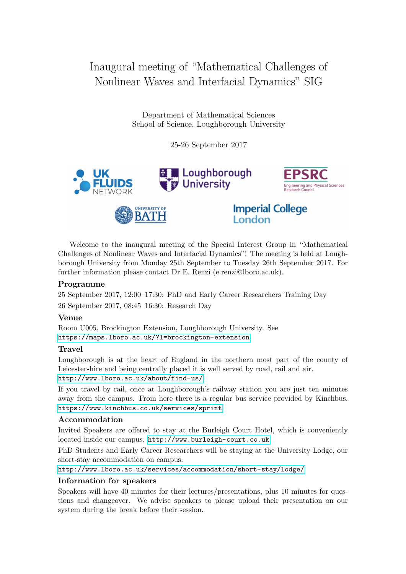# Inaugural meeting of "Mathematical Challenges of Nonlinear Waves and Interfacial Dynamics" SIG

Department of Mathematical Sciences School of Science, Loughborough University

25-26 September 2017



Welcome to the inaugural meeting of the Special Interest Group in "Mathematical Challenges of Nonlinear Waves and Interfacial Dynamics"! The meeting is held at Loughborough University from Monday 25th September to Tuesday 26th September 2017. For further information please contact Dr E. Renzi (e.renzi@lboro.ac.uk).

## Programme

25 September 2017, 12:00–17:30: PhD and Early Career Researchers Training Day 26 September 2017, 08:45–16:30: Research Day

### Venue

Room U005, Brockington Extension, Loughborough University. See <https://maps.lboro.ac.uk/?l=brockington-extension>

### Travel

Loughborough is at the heart of England in the northern most part of the county of Leicestershire and being centrally placed it is well served by road, rail and air. <http://www.lboro.ac.uk/about/find-us/>

If you travel by rail, once at Loughborough's railway station you are just ten minutes away from the campus. From here there is a regular bus service provided by Kinchbus. <https://www.kinchbus.co.uk/services/sprint>

## Accommodation

Invited Speakers are offered to stay at the Burleigh Court Hotel, which is conveniently located inside our campus. <http://www.burleigh-court.co.uk>

PhD Students and Early Career Researchers will be staying at the University Lodge, our short-stay accommodation on campus.

<http://www.lboro.ac.uk/services/accommodation/short-stay/lodge/>

### Information for speakers

Speakers will have 40 minutes for their lectures/presentations, plus 10 minutes for questions and changeover. We advise speakers to please upload their presentation on our system during the break before their session.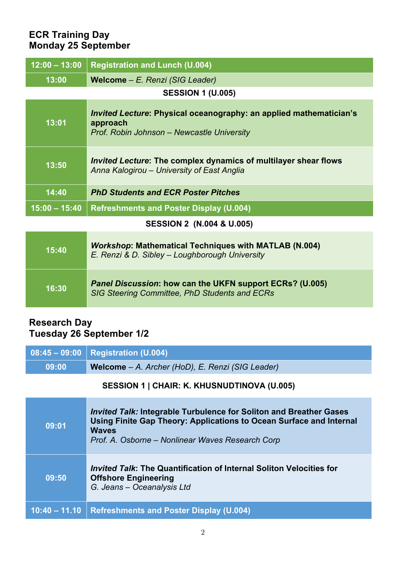# **ECR Training Day Monday 25 September**

| $12:00 - 13:00$                      | <b>Registration and Lunch (U.004)</b>                                                                                               |  |  |  |
|--------------------------------------|-------------------------------------------------------------------------------------------------------------------------------------|--|--|--|
| 13:00                                | Welcome - E. Renzi (SIG Leader)                                                                                                     |  |  |  |
| <b>SESSION 1 (U.005)</b>             |                                                                                                                                     |  |  |  |
| 13:01                                | <i>Invited Lecture:</i> Physical oceanography: an applied mathematician's<br>approach<br>Prof. Robin Johnson - Newcastle University |  |  |  |
| 13:50                                | <i>Invited Lecture:</i> The complex dynamics of multilayer shear flows<br>Anna Kalogirou - University of East Anglia                |  |  |  |
| 14:40                                | <b>PhD Students and ECR Poster Pitches</b>                                                                                          |  |  |  |
| $15:00 - 15:40$                      | <b>Refreshments and Poster Display (U.004)</b>                                                                                      |  |  |  |
| <b>SESSION 2 (N.004 &amp; U.005)</b> |                                                                                                                                     |  |  |  |
| 15:40                                | <b>Workshop: Mathematical Techniques with MATLAB (N.004)</b><br>E. Renzi & D. Sibley - Loughborough University                      |  |  |  |
| 16:30                                | Panel Discussion: how can the UKFN support ECRs? (U.005)<br>SIG Steering Committee, PhD Students and ECRs                           |  |  |  |

## **Research Day Tuesday 26 September 1/2**

|       | $08:45 - 09:00$   Registration (U.004)           |
|-------|--------------------------------------------------|
| 09:00 | Welcome - A. Archer (HoD), E. Renzi (SIG Leader) |

# **SESSION 1 | CHAIR: K. KHUSNUDTINOVA (U.005)**

| 09:01           | <b>Invited Talk: Integrable Turbulence for Soliton and Breather Gases</b><br>Using Finite Gap Theory: Applications to Ocean Surface and Internal<br><b>Waves</b><br>Prof. A. Osborne – Nonlinear Waves Research Corp |
|-----------------|----------------------------------------------------------------------------------------------------------------------------------------------------------------------------------------------------------------------|
| 09:50           | <i>Invited Talk</i> : The Quantification of Internal Soliton Velocities for<br><b>Offshore Engineering</b><br>G. Jeans - Oceanalysis Ltd                                                                             |
| $10:40 - 11.10$ | <b>Refreshments and Poster Display (U.004)</b>                                                                                                                                                                       |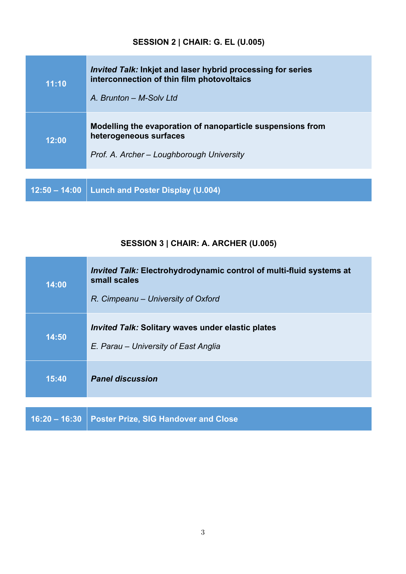# **SESSION 2 | CHAIR: G. EL (U.005)**

| 11:10           | <i>Invited Talk:</i> Inkjet and laser hybrid processing for series<br>interconnection of thin film photovoltaics<br>A. Brunton - M-Solv Ltd |  |
|-----------------|---------------------------------------------------------------------------------------------------------------------------------------------|--|
| 12:00           | Modelling the evaporation of nanoparticle suspensions from<br>heterogeneous surfaces<br>Prof. A. Archer - Loughborough University           |  |
|                 |                                                                                                                                             |  |
| $12:50 - 14:00$ | <b>Lunch and Poster Display (U.004)</b>                                                                                                     |  |

# **SESSION 3 | CHAIR: A. ARCHER (U.005)**

| 14:00           | <i>Invited Talk:</i> Electrohydrodynamic control of multi-fluid systems at<br>small scales<br>R. Cimpeanu – University of Oxford |  |
|-----------------|----------------------------------------------------------------------------------------------------------------------------------|--|
| 14:50           | <i>Invited Talk: Solitary waves under elastic plates</i><br>E. Parau – University of East Anglia                                 |  |
| 15:40           | <b>Panel discussion</b>                                                                                                          |  |
| $16:20 - 16:30$ | <b>Poster Prize, SIG Handover and Close</b>                                                                                      |  |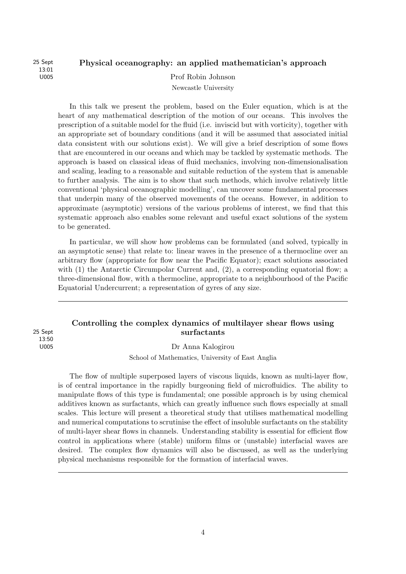13:01

## 25 Sept Physical oceanography: an applied mathematician's approach

U005 Prof Robin Johnson

Newcastle University

In this talk we present the problem, based on the Euler equation, which is at the heart of any mathematical description of the motion of our oceans. This involves the prescription of a suitable model for the fluid (i.e. inviscid but with vorticity), together with an appropriate set of boundary conditions (and it will be assumed that associated initial data consistent with our solutions exist). We will give a brief description of some flows that are encountered in our oceans and which may be tackled by systematic methods. The approach is based on classical ideas of fluid mechanics, involving non-dimensionalisation and scaling, leading to a reasonable and suitable reduction of the system that is amenable to further analysis. The aim is to show that such methods, which involve relatively little conventional 'physical oceanographic modelling', can uncover some fundamental processes that underpin many of the observed movements of the oceans. However, in addition to approximate (asymptotic) versions of the various problems of interest, we find that this systematic approach also enables some relevant and useful exact solutions of the system to be generated.

In particular, we will show how problems can be formulated (and solved, typically in an asymptotic sense) that relate to: linear waves in the presence of a thermocline over an arbitrary flow (appropriate for flow near the Pacific Equator); exact solutions associated with (1) the Antarctic Circumpolar Current and, (2), a corresponding equatorial flow; a three-dimensional flow, with a thermocline, appropriate to a neighbourhood of the Pacific Equatorial Undercurrent; a representation of gyres of any size.

13:50

## Controlling the complex dynamics of multilayer shear flows using 25 Sept surfactants

U005 Dr Anna Kalogirou

School of Mathematics, University of East Anglia

The flow of multiple superposed layers of viscous liquids, known as multi-layer flow, is of central importance in the rapidly burgeoning field of microfluidics. The ability to manipulate flows of this type is fundamental; one possible approach is by using chemical additives known as surfactants, which can greatly influence such flows especially at small scales. This lecture will present a theoretical study that utilises mathematical modelling and numerical computations to scrutinise the effect of insoluble surfactants on the stability of multi-layer shear flows in channels. Understanding stability is essential for efficient flow control in applications where (stable) uniform films or (unstable) interfacial waves are desired. The complex flow dynamics will also be discussed, as well as the underlying physical mechanisms responsible for the formation of interfacial waves.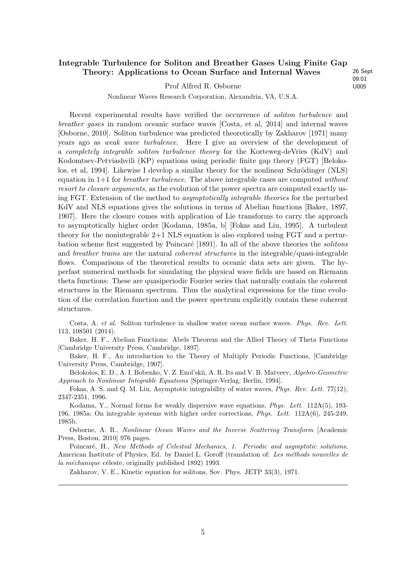#### Integrable Turbulence for Soliton and Breather Gases Using Finite Gap Theory: Applications to Ocean Surface and Internal Waves 26 Sept

Prof Alfred R. Osborne U005

09:01

Nonlinear Waves Research Corporation, Alexandria, VA, U.S.A.

Recent experimental results have verified the occurrence of soliton turbulence and breather gases in random oceanic surface waves [Costa, et al, 2014] and internal waves [Osborne, 2010]. Soliton turbulence was predicted theoretically by Zakharov [1971] many years ago as weak wave turbulence. Here I give an overview of the development of a completely integrable soliton turbulence theory for the Korteweg-deVries (KdV) and Kodomtsev-Petviashvili (KP) equations using periodic finite gap theory (FGT) [Belokolos, et al, 1994]. Likewise I develop a similar theory for the nonlinear Schrödinger  $(NLS)$ equation in  $1+1$  for *breather turbulence*. The above integrable cases are computed without resort to closure arguments, as the evolution of the power spectra are computed exactly using FGT. Extension of the method to asymptotically integrable theories for the perturbed KdV and NLS equations gives the solutions in terms of Abelian functions [Baker, 1897, 1907]. Here the closure comes with application of Lie transforms to carry the approach to asymptotically higher order [Kodama, 1985a, b] [Fokas and Liu, 1995]. A turbulent theory for the nonintegrable  $2+1$  NLS equation is also explored using FGT and a perturbation scheme first suggested by Poincaré [1891]. In all of the above theories the *solitons* and *breather trains* are the natural *coherent structures* in the integrable/quasi-integrable flows. Comparisons of the theoretical results to oceanic data sets are given. The hyperfast numerical methods for simulating the physical wave fields are based on Riemann theta functions: These are quasiperiodic Fourier series that naturally contain the coherent structures in the Riemann spectrum. Thus the analytical expressions for the time evolution of the correlation function and the power spectrum explicitly contain these coherent structures.

Costa, A. et al. Soliton turbulence in shallow water ocean surface waves. Phys. Rev. Lett. 113, 108501 (2014).

Baker, H. F., Abelian Functions: Abels Theorem and the Allied Theory of Theta Functions [Cambridge University Press, Cambridge, 1897].

Baker, H. F., An introduction to the Theory of Multiply Periodic Functions, [Cambridge University Press, Cambridge, 1907].

Belokolos, E. D., A. I. Bobenko, V. Z. Enol'skii, A. R. Its and V. B. Matveev, Algebro-Geometric Approach to Nonlinear Integrable Equations [Springer-Verlag, Berlin, 1994].

Fokas, A. S. and Q. M. Liu, Asymptotic integrability of water waves, Phys. Rev. Lett. 77(12), 2347-2351, 1996.

Kodama, Y., Normal forms for weakly dispersive wave equations, Phys. Lett. 112A(5), 193- 196, 1985a; On integrable systems with higher order corrections, Phys. Lett. 112A(6), 245-249, 1985b.

Osborne, A. R., Nonlinear Ocean Waves and the Inverse Scattering Transform [Academic Press, Boston, 2010] 976 pages.

Poincaré, H., New Methods of Celestial Mechanics, 1. Periodic and asymptotic solutions, American Institute of Physics, Ed. by Daniel L. Goroff (translation of: Les méthods nouvelles de la méchanique céleste, originally published 1892) 1993.

Zakharov, V. E., Kinetic equation for solitons, Sov. Phys. JETP 33(3), 1971.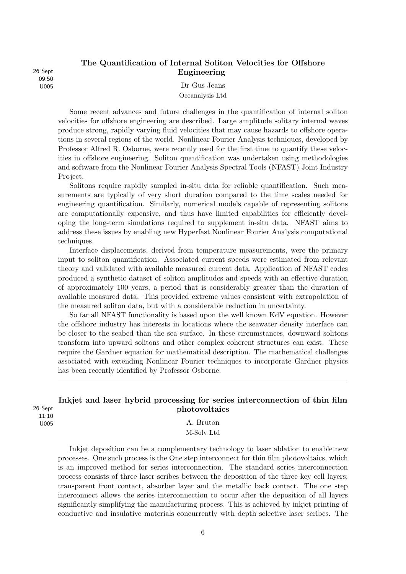09:50

## The Quantification of Internal Soliton Velocities for Offshore 26 Sept **Engineering**

U005 Dr Gus Jeans Oceanalysis Ltd

Some recent advances and future challenges in the quantification of internal soliton velocities for offshore engineering are described. Large amplitude solitary internal waves produce strong, rapidly varying fluid velocities that may cause hazards to offshore operations in several regions of the world. Nonlinear Fourier Analysis techniques, developed by Professor Alfred R. Osborne, were recently used for the first time to quantify these velocities in offshore engineering. Soliton quantification was undertaken using methodologies and software from the Nonlinear Fourier Analysis Spectral Tools (NFAST) Joint Industry Project.

Solitons require rapidly sampled in-situ data for reliable quantification. Such measurements are typically of very short duration compared to the time scales needed for engineering quantification. Similarly, numerical models capable of representing solitons are computationally expensive, and thus have limited capabilities for efficiently developing the long-term simulations required to supplement in-situ data. NFAST aims to address these issues by enabling new Hyperfast Nonlinear Fourier Analysis computational techniques.

Interface displacements, derived from temperature measurements, were the primary input to soliton quantification. Associated current speeds were estimated from relevant theory and validated with available measured current data. Application of NFAST codes produced a synthetic dataset of soliton amplitudes and speeds with an effective duration of approximately 100 years, a period that is considerably greater than the duration of available measured data. This provided extreme values consistent with extrapolation of the measured soliton data, but with a considerable reduction in uncertainty.

So far all NFAST functionality is based upon the well known KdV equation. However the offshore industry has interests in locations where the seawater density interface can be closer to the seabed than the sea surface. In these circumstances, downward solitons transform into upward solitons and other complex coherent structures can exist. These require the Gardner equation for mathematical description. The mathematical challenges associated with extending Nonlinear Fourier techniques to incorporate Gardner physics has been recently identified by Professor Osborne.

#### Inkjet and laser hybrid processing for series interconnection of thin film 26 Sept photovoltaics 11:10

U005 A. Bruton M-Solv Ltd

> Inkjet deposition can be a complementary technology to laser ablation to enable new processes. One such process is the One step interconnect for thin film photovoltaics, which is an improved method for series interconnection. The standard series interconnection process consists of three laser scribes between the deposition of the three key cell layers; transparent front contact, absorber layer and the metallic back contact. The one step interconnect allows the series interconnection to occur after the deposition of all layers significantly simplifying the manufacturing process. This is achieved by inkjet printing of conductive and insulative materials concurrently with depth selective laser scribes. The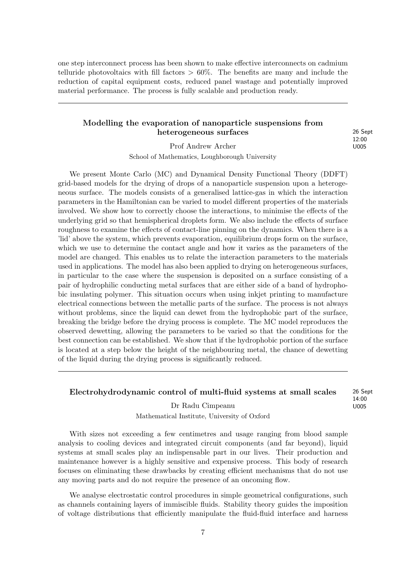one step interconnect process has been shown to make effective interconnects on cadmium telluride photovoltaics with fill factors  $> 60\%$ . The benefits are many and include the reduction of capital equipment costs, reduced panel wastage and potentially improved material performance. The process is fully scalable and production ready.

#### Modelling the evaporation of nanoparticle suspensions from heterogeneous surfaces 26 Sept

12:00

Prof Andrew Archer U005

School of Mathematics, Loughborough University

We present Monte Carlo (MC) and Dynamical Density Functional Theory (DDFT) grid-based models for the drying of drops of a nanoparticle suspension upon a heterogeneous surface. The models consists of a generalised lattice-gas in which the interaction parameters in the Hamiltonian can be varied to model different properties of the materials involved. We show how to correctly choose the interactions, to minimise the effects of the underlying grid so that hemispherical droplets form. We also include the effects of surface roughness to examine the effects of contact-line pinning on the dynamics. When there is a 'lid' above the system, which prevents evaporation, equilibrium drops form on the surface, which we use to determine the contact angle and how it varies as the parameters of the model are changed. This enables us to relate the interaction parameters to the materials used in applications. The model has also been applied to drying on heterogeneous surfaces, in particular to the case where the suspension is deposited on a surface consisting of a pair of hydrophilic conducting metal surfaces that are either side of a band of hydrophobic insulating polymer. This situation occurs when using inkjet printing to manufacture electrical connections between the metallic parts of the surface. The process is not always without problems, since the liquid can dewet from the hydrophobic part of the surface, breaking the bridge before the drying process is complete. The MC model reproduces the observed dewetting, allowing the parameters to be varied so that the conditions for the best connection can be established. We show that if the hydrophobic portion of the surface is located at a step below the height of the neighbouring metal, the chance of dewetting of the liquid during the drying process is significantly reduced.

#### Electrohydrodynamic control of multi-fluid systems at small scales 26 Sept

14:00

Dr Radu Cimpeanu U005 Mathematical Institute, University of Oxford

With sizes not exceeding a few centimetres and usage ranging from blood sample analysis to cooling devices and integrated circuit components (and far beyond), liquid systems at small scales play an indispensable part in our lives. Their production and maintenance however is a highly sensitive and expensive process. This body of research focuses on eliminating these drawbacks by creating efficient mechanisms that do not use any moving parts and do not require the presence of an oncoming flow.

We analyse electrostatic control procedures in simple geometrical configurations, such as channels containing layers of immiscible fluids. Stability theory guides the imposition of voltage distributions that efficiently manipulate the fluid-fluid interface and harness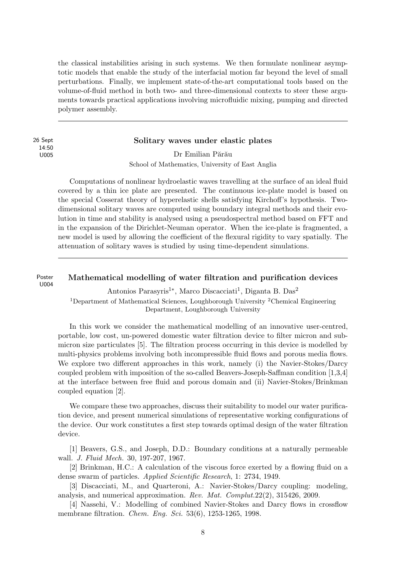the classical instabilities arising in such systems. We then formulate nonlinear asymptotic models that enable the study of the interfacial motion far beyond the level of small perturbations. Finally, we implement state-of-the-art computational tools based on the volume-of-fluid method in both two- and three-dimensional contexts to steer these arguments towards practical applications involving microfluidic mixing, pumping and directed polymer assembly.

14:50

#### 26 Sept Solitary waves under elastic plates

U005 Dr Emilian Părău School of Mathematics, University of East Anglia

Computations of nonlinear hydroelastic waves travelling at the surface of an ideal fluid covered by a thin ice plate are presented. The continuous ice-plate model is based on the special Cosserat theory of hyperelastic shells satisfying Kirchoff's hypothesis. Twodimensional solitary waves are computed using boundary integral methods and their evolution in time and stability is analysed using a pseudospectral method based on FFT and in the expansion of the Dirichlet-Neuman operator. When the ice-plate is fragmented, a new model is used by allowing the coefficient of the flexural rigidity to vary spatially. The attenuation of solitary waves is studied by using time-dependent simulations.

Poster Mathematical modelling of water filtration and purification devices U004

Antonios Parasyris<sup>1</sup><sup>\*</sup>, Marco Discacciati<sup>1</sup>, Diganta B. Das<sup>2</sup> <sup>1</sup>Department of Mathematical Sciences, Loughborough University <sup>2</sup>Chemical Engineering Department, Loughborough University

In this work we consider the mathematical modelling of an innovative user-centred, portable, low cost, un-powered domestic water filtration device to filter micron and submicron size particulates [5]. The filtration process occurring in this device is modelled by multi-physics problems involving both incompressible fluid flows and porous media flows. We explore two different approaches in this work, namely (i) the Navier-Stokes/Darcy coupled problem with imposition of the so-called Beavers-Joseph-Saffman condition [1,3,4] at the interface between free fluid and porous domain and (ii) Navier-Stokes/Brinkman coupled equation [2].

We compare these two approaches, discuss their suitability to model our water purification device, and present numerical simulations of representative working configurations of the device. Our work constitutes a first step towards optimal design of the water filtration device.

[1] Beavers, G.S., and Joseph, D.D.: Boundary conditions at a naturally permeable wall. J. Fluid Mech. 30, 197-207, 1967.

[2] Brinkman, H.C.: A calculation of the viscous force exerted by a flowing fluid on a dense swarm of particles. Applied Scientific Research, 1: 2734, 1949.

[3] Discacciati, M., and Quarteroni, A.: Navier-Stokes/Darcy coupling: modeling, analysis, and numerical approximation. Rev. Mat. Complut.22(2), 315426, 2009.

[4] Nassehi, V.: Modelling of combined Navier-Stokes and Darcy flows in crossflow membrane filtration. *Chem. Eng. Sci.* 53(6), 1253-1265, 1998.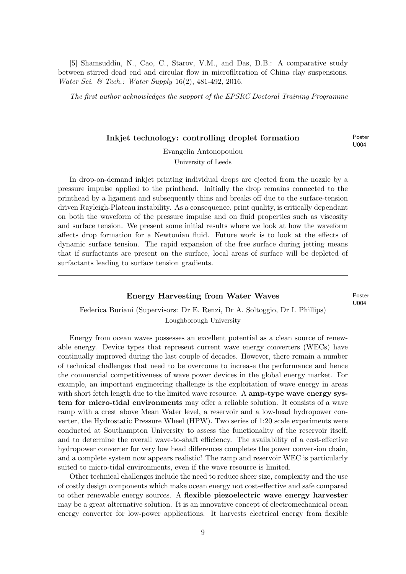[5] Shamsuddin, N., Cao, C., Starov, V.M., and Das, D.B.: A comparative study between stirred dead end and circular flow in microfiltration of China clay suspensions. Water Sci. & Tech.: Water Supply 16(2), 481-492, 2016.

The first author acknowledges the support of the EPSRC Doctoral Training Programme

#### Inkjet technology: controlling droplet formation Poster

U004

Evangelia Antonopoulou University of Leeds

In drop-on-demand inkjet printing individual drops are ejected from the nozzle by a pressure impulse applied to the printhead. Initially the drop remains connected to the printhead by a ligament and subsequently thins and breaks off due to the surface-tension driven Rayleigh-Plateau instability. As a consequence, print quality, is critically dependant on both the waveform of the pressure impulse and on fluid properties such as viscosity and surface tension. We present some initial results where we look at how the waveform affects drop formation for a Newtonian fluid. Future work is to look at the effects of dynamic surface tension. The rapid expansion of the free surface during jetting means that if surfactants are present on the surface, local areas of surface will be depleted of surfactants leading to surface tension gradients.

#### Energy Harvesting from Water Waves Poster

U004

## Federica Buriani (Supervisors: Dr E. Renzi, Dr A. Soltoggio, Dr I. Phillips) Loughborough University

Energy from ocean waves possesses an excellent potential as a clean source of renewable energy. Device types that represent current wave energy converters (WECs) have continually improved during the last couple of decades. However, there remain a number of technical challenges that need to be overcome to increase the performance and hence the commercial competitiveness of wave power devices in the global energy market. For example, an important engineering challenge is the exploitation of wave energy in areas with short fetch length due to the limited wave resource. A **amp-type wave energy sys**tem for micro-tidal environments may offer a reliable solution. It consists of a wave ramp with a crest above Mean Water level, a reservoir and a low-head hydropower converter, the Hydrostatic Pressure Wheel (HPW). Two series of 1:20 scale experiments were conducted at Southampton University to assess the functionality of the reservoir itself, and to determine the overall wave-to-shaft efficiency. The availability of a cost-effective hydropower converter for very low head differences completes the power conversion chain, and a complete system now appears realistic! The ramp and reservoir WEC is particularly suited to micro-tidal environments, even if the wave resource is limited.

Other technical challenges include the need to reduce sheer size, complexity and the use of costly design components which make ocean energy not cost-effective and safe compared to other renewable energy sources. A flexible piezoelectric wave energy harvester may be a great alternative solution. It is an innovative concept of electromechanical ocean energy converter for low-power applications. It harvests electrical energy from flexible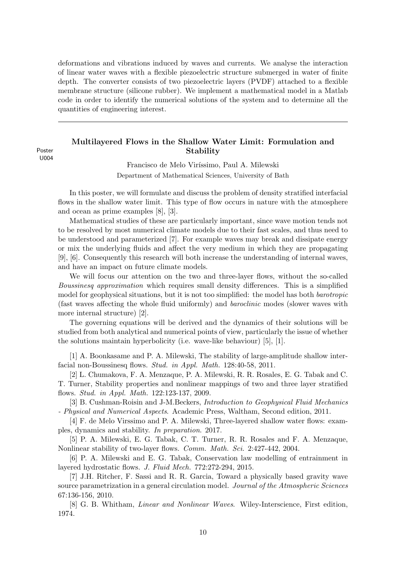deformations and vibrations induced by waves and currents. We analyse the interaction of linear water waves with a flexible piezoelectric structure submerged in water of finite depth. The converter consists of two piezoelectric layers (PVDF) attached to a flexible membrane structure (silicone rubber). We implement a mathematical model in a Matlab code in order to identify the numerical solutions of the system and to determine all the quantities of engineering interest.

#### Multilayered Flows in the Shallow Water Limit: Formulation and Poster **Stability**

U004

Francisco de Melo Viríssimo, Paul A. Milewski Department of Mathematical Sciences, University of Bath

In this poster, we will formulate and discuss the problem of density stratified interfacial flows in the shallow water limit. This type of flow occurs in nature with the atmosphere and ocean as prime examples [8], [3].

Mathematical studies of these are particularly important, since wave motion tends not to be resolved by most numerical climate models due to their fast scales, and thus need to be understood and parameterized [7]. For example waves may break and dissipate energy or mix the underlying fluids and affect the very medium in which they are propagating [9], [6]. Consequently this research will both increase the understanding of internal waves, and have an impact on future climate models.

We will focus our attention on the two and three-layer flows, without the so-called Boussinesq approximation which requires small density differences. This is a simplified model for geophysical situations, but it is not too simplified: the model has both *barotropic* (fast waves affecting the whole fluid uniformly) and baroclinic modes (slower waves with more internal structure) [2].

The governing equations will be derived and the dynamics of their solutions will be studied from both analytical and numerical points of view, particularly the issue of whether the solutions maintain hyperbolicity (i.e. wave-like behaviour) [5], [1].

[1] A. Boonkasame and P. A. Milewski, The stability of large-amplitude shallow interfacial non-Boussinesq flows. Stud. in Appl. Math. 128:40-58, 2011.

[2] L. Chumakova, F. A. Menzaque, P. A. Milewski, R. R. Rosales, E. G. Tabak and C. T. Turner, Stability properties and nonlinear mappings of two and three layer stratified flows. Stud. in Appl. Math. 122:123-137, 2009.

[3] B. Cushman-Roisin and J-M.Beckers, Introduction to Geophysical Fluid Mechanics - Physical and Numerical Aspects. Academic Press, Waltham, Second edition, 2011.

[4] F. de Melo Virssimo and P. A. Milewski, Three-layered shallow water flows: examples, dynamics and stability. In preparation. 2017.

[5] P. A. Milewski, E. G. Tabak, C. T. Turner, R. R. Rosales and F. A. Menzaque, Nonlinear stability of two-layer flows. Comm. Math. Sci. 2:427-442, 2004.

[6] P. A. Milewski and E. G. Tabak, Conservation law modelling of entrainment in layered hydrostatic flows. J. Fluid Mech. 772:272-294, 2015.

[7] J.H. Ritcher, F. Sassi and R. R. Garcia, Toward a physically based gravity wave source parametrization in a general circulation model. Journal of the Atmospheric Sciences 67:136-156, 2010.

[8] G. B. Whitham, *Linear and Nonlinear Waves*. Wiley-Interscience, First edition, 1974.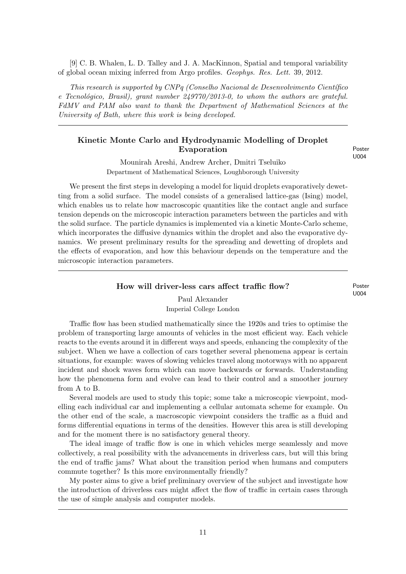[9] C. B. Whalen, L. D. Talley and J. A. MacKinnon, Spatial and temporal variability of global ocean mixing inferred from Argo profiles. Geophys. Res. Lett. 39, 2012.

This research is supported by  $CNPq$  (Conselho Nacional de Desenvolvimento Científico e Tecnológico, Brasil), grant number  $249770/2013$ -0, to whom the authors are grateful. FdMV and PAM also want to thank the Department of Mathematical Sciences at the University of Bath, where this work is being developed.

#### Kinetic Monte Carlo and Hydrodynamic Modelling of Droplet Evaporation Poster

U004

Mounirah Areshi, Andrew Archer, Dmitri Tseluiko Department of Mathematical Sciences, Loughborough University

We present the first steps in developing a model for liquid droplets evaporatively dewetting from a solid surface. The model consists of a generalised lattice-gas (Ising) model, which enables us to relate how macroscopic quantities like the contact angle and surface tension depends on the microscopic interaction parameters between the particles and with the solid surface. The particle dynamics is implemented via a kinetic Monte-Carlo scheme, which incorporates the diffusive dynamics within the droplet and also the evaporative dynamics. We present preliminary results for the spreading and dewetting of droplets and the effects of evaporation, and how this behaviour depends on the temperature and the microscopic interaction parameters.

#### How will driver-less cars affect traffic flow? Poster

U004

#### Paul Alexander Imperial College London

Traffic flow has been studied mathematically since the 1920s and tries to optimise the problem of transporting large amounts of vehicles in the most efficient way. Each vehicle reacts to the events around it in different ways and speeds, enhancing the complexity of the subject. When we have a collection of cars together several phenomena appear is certain situations, for example: waves of slowing vehicles travel along motorways with no apparent incident and shock waves form which can move backwards or forwards. Understanding how the phenomena form and evolve can lead to their control and a smoother journey from A to B.

Several models are used to study this topic; some take a microscopic viewpoint, modelling each individual car and implementing a cellular automata scheme for example. On the other end of the scale, a macroscopic viewpoint considers the traffic as a fluid and forms differential equations in terms of the densities. However this area is still developing and for the moment there is no satisfactory general theory.

The ideal image of traffic flow is one in which vehicles merge seamlessly and move collectively, a real possibility with the advancements in driverless cars, but will this bring the end of traffic jams? What about the transition period when humans and computers commute together? Is this more environmentally friendly?

My poster aims to give a brief preliminary overview of the subject and investigate how the introduction of driverless cars might affect the flow of traffic in certain cases through the use of simple analysis and computer models.